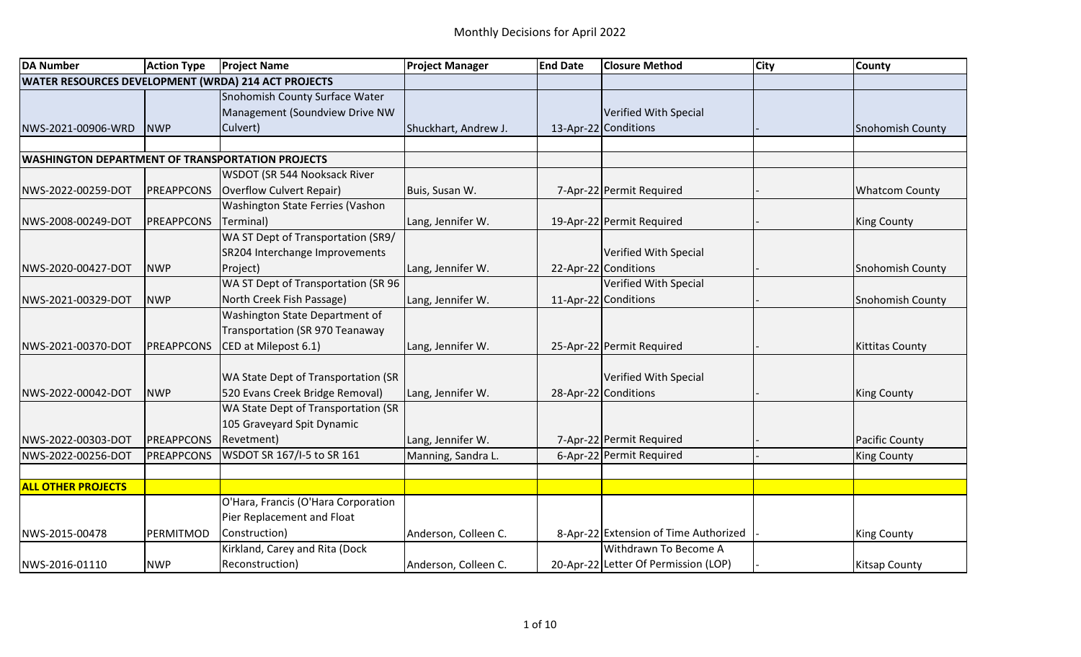| <b>DA Number</b>                                        | <b>Action Type</b> | <b>Project Name</b>                 | <b>Project Manager</b> | <b>End Date</b> | <b>Closure Method</b>                 | <b>City</b> | <b>County</b>           |
|---------------------------------------------------------|--------------------|-------------------------------------|------------------------|-----------------|---------------------------------------|-------------|-------------------------|
| WATER RESOURCES DEVELOPMENT (WRDA) 214 ACT PROJECTS     |                    |                                     |                        |                 |                                       |             |                         |
|                                                         |                    | Snohomish County Surface Water      |                        |                 |                                       |             |                         |
|                                                         |                    | Management (Soundview Drive NW      |                        |                 | Verified With Special                 |             |                         |
| NWS-2021-00906-WRD                                      | <b>NWP</b>         | Culvert)                            | Shuckhart, Andrew J.   |                 | 13-Apr-22 Conditions                  |             | <b>Snohomish County</b> |
|                                                         |                    |                                     |                        |                 |                                       |             |                         |
| <b>WASHINGTON DEPARTMENT OF TRANSPORTATION PROJECTS</b> |                    |                                     |                        |                 |                                       |             |                         |
|                                                         |                    | <b>WSDOT (SR 544 Nooksack River</b> |                        |                 |                                       |             |                         |
| NWS-2022-00259-DOT                                      | PREAPPCONS         | Overflow Culvert Repair)            | Buis, Susan W.         |                 | 7-Apr-22 Permit Required              |             | <b>Whatcom County</b>   |
|                                                         |                    | Washington State Ferries (Vashon    |                        |                 |                                       |             |                         |
| NWS-2008-00249-DOT                                      | PREAPPCONS         | Terminal)                           | Lang, Jennifer W.      |                 | 19-Apr-22 Permit Required             |             | <b>King County</b>      |
|                                                         |                    | WA ST Dept of Transportation (SR9/  |                        |                 |                                       |             |                         |
|                                                         |                    | SR204 Interchange Improvements      |                        |                 | Verified With Special                 |             |                         |
| NWS-2020-00427-DOT                                      | <b>NWP</b>         | Project)                            | Lang, Jennifer W.      |                 | 22-Apr-22 Conditions                  |             | <b>Snohomish County</b> |
|                                                         |                    | WA ST Dept of Transportation (SR 96 |                        |                 | Verified With Special                 |             |                         |
| NWS-2021-00329-DOT                                      | <b>NWP</b>         | North Creek Fish Passage)           | Lang, Jennifer W.      |                 | 11-Apr-22 Conditions                  |             | Snohomish County        |
|                                                         |                    | Washington State Department of      |                        |                 |                                       |             |                         |
|                                                         |                    | Transportation (SR 970 Teanaway     |                        |                 |                                       |             |                         |
| NWS-2021-00370-DOT                                      | <b>PREAPPCONS</b>  | CED at Milepost 6.1)                | Lang, Jennifer W.      |                 | 25-Apr-22 Permit Required             |             | <b>Kittitas County</b>  |
|                                                         |                    |                                     |                        |                 |                                       |             |                         |
|                                                         |                    | WA State Dept of Transportation (SR |                        |                 | Verified With Special                 |             |                         |
| NWS-2022-00042-DOT                                      | <b>NWP</b>         | 520 Evans Creek Bridge Removal)     | Lang, Jennifer W.      |                 | 28-Apr-22 Conditions                  |             | <b>King County</b>      |
|                                                         |                    | WA State Dept of Transportation (SR |                        |                 |                                       |             |                         |
|                                                         |                    | 105 Graveyard Spit Dynamic          |                        |                 |                                       |             |                         |
| NWS-2022-00303-DOT                                      | PREAPPCONS         | Revetment)                          | Lang, Jennifer W.      |                 | 7-Apr-22 Permit Required              |             | <b>Pacific County</b>   |
| NWS-2022-00256-DOT                                      | PREAPPCONS         | WSDOT SR 167/I-5 to SR 161          | Manning, Sandra L.     |                 | 6-Apr-22 Permit Required              |             | <b>King County</b>      |
|                                                         |                    |                                     |                        |                 |                                       |             |                         |
| <b>ALL OTHER PROJECTS</b>                               |                    |                                     |                        |                 |                                       |             |                         |
|                                                         |                    | O'Hara, Francis (O'Hara Corporation |                        |                 |                                       |             |                         |
|                                                         |                    | Pier Replacement and Float          |                        |                 |                                       |             |                         |
| NWS-2015-00478                                          | PERMITMOD          | Construction)                       | Anderson, Colleen C.   |                 | 8-Apr-22 Extension of Time Authorized |             | <b>King County</b>      |
|                                                         |                    | Kirkland, Carey and Rita (Dock      |                        |                 | Withdrawn To Become A                 |             |                         |
| NWS-2016-01110                                          | <b>NWP</b>         | Reconstruction)                     | Anderson, Colleen C.   |                 | 20-Apr-22 Letter Of Permission (LOP)  |             | <b>Kitsap County</b>    |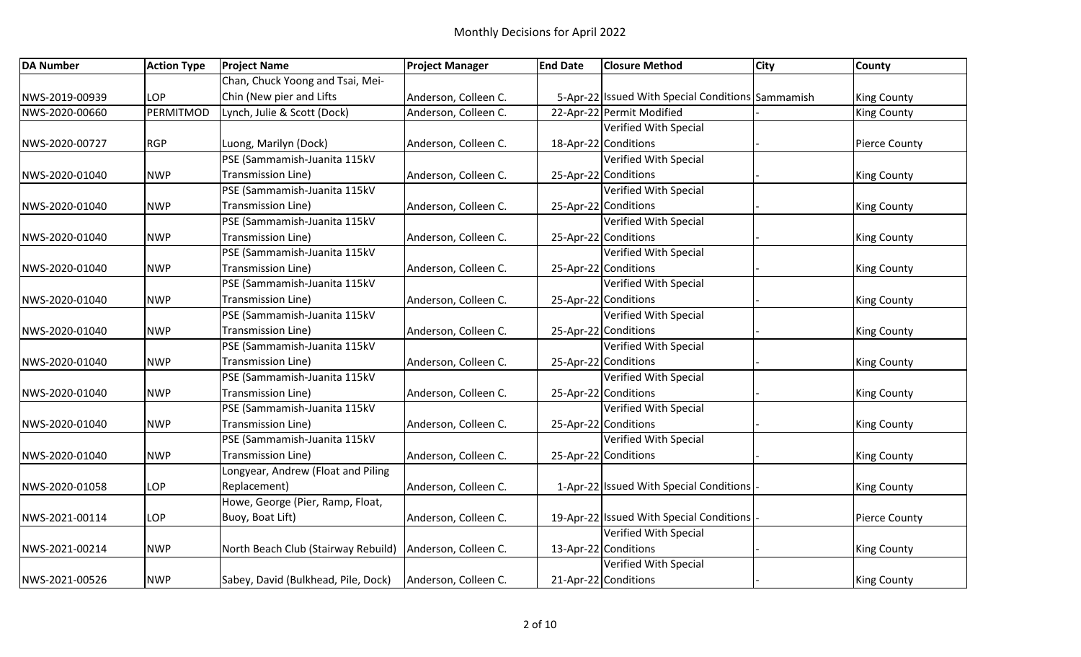| <b>DA Number</b> | <b>Action Type</b> | <b>Project Name</b>                 | <b>Project Manager</b> | <b>End Date</b> | <b>Closure Method</b>                             | <b>City</b> | <b>County</b>        |
|------------------|--------------------|-------------------------------------|------------------------|-----------------|---------------------------------------------------|-------------|----------------------|
|                  |                    | Chan, Chuck Yoong and Tsai, Mei-    |                        |                 |                                                   |             |                      |
| NWS-2019-00939   | LOP                | Chin (New pier and Lifts            | Anderson, Colleen C.   |                 | 5-Apr-22 Issued With Special Conditions Sammamish |             | <b>King County</b>   |
| NWS-2020-00660   | PERMITMOD          | Lynch, Julie & Scott (Dock)         | Anderson, Colleen C.   |                 | 22-Apr-22 Permit Modified                         |             | <b>King County</b>   |
|                  |                    |                                     |                        |                 | Verified With Special                             |             |                      |
| NWS-2020-00727   | <b>RGP</b>         | Luong, Marilyn (Dock)               | Anderson, Colleen C.   |                 | 18-Apr-22 Conditions                              |             | Pierce County        |
|                  |                    | PSE (Sammamish-Juanita 115kV        |                        |                 | <b>Verified With Special</b>                      |             |                      |
| NWS-2020-01040   | <b>NWP</b>         | Transmission Line)                  | Anderson, Colleen C.   |                 | 25-Apr-22 Conditions                              |             | <b>King County</b>   |
|                  |                    | PSE (Sammamish-Juanita 115kV        |                        |                 | Verified With Special                             |             |                      |
| NWS-2020-01040   | <b>NWP</b>         | Transmission Line)                  | Anderson, Colleen C.   |                 | 25-Apr-22 Conditions                              |             | <b>King County</b>   |
|                  |                    | PSE (Sammamish-Juanita 115kV        |                        |                 | Verified With Special                             |             |                      |
| NWS-2020-01040   | <b>NWP</b>         | Transmission Line)                  | Anderson, Colleen C.   |                 | 25-Apr-22 Conditions                              |             | <b>King County</b>   |
|                  |                    | PSE (Sammamish-Juanita 115kV        |                        |                 | <b>Verified With Special</b>                      |             |                      |
| NWS-2020-01040   | <b>NWP</b>         | Transmission Line)                  | Anderson, Colleen C.   |                 | 25-Apr-22 Conditions                              |             | <b>King County</b>   |
|                  |                    | PSE (Sammamish-Juanita 115kV        |                        |                 | <b>Verified With Special</b>                      |             |                      |
| NWS-2020-01040   | <b>NWP</b>         | Transmission Line)                  | Anderson, Colleen C.   |                 | 25-Apr-22 Conditions                              |             | <b>King County</b>   |
|                  |                    | PSE (Sammamish-Juanita 115kV        |                        |                 | <b>Verified With Special</b>                      |             |                      |
| NWS-2020-01040   | <b>NWP</b>         | Transmission Line)                  | Anderson, Colleen C.   |                 | 25-Apr-22 Conditions                              |             | <b>King County</b>   |
|                  |                    | PSE (Sammamish-Juanita 115kV        |                        |                 | Verified With Special                             |             |                      |
| NWS-2020-01040   | <b>NWP</b>         | Transmission Line)                  | Anderson, Colleen C.   |                 | 25-Apr-22 Conditions                              |             | <b>King County</b>   |
|                  |                    | PSE (Sammamish-Juanita 115kV        |                        |                 | <b>Verified With Special</b>                      |             |                      |
| NWS-2020-01040   | <b>NWP</b>         | Transmission Line)                  | Anderson, Colleen C.   |                 | 25-Apr-22 Conditions                              |             | <b>King County</b>   |
|                  |                    | PSE (Sammamish-Juanita 115kV        |                        |                 | Verified With Special                             |             |                      |
| NWS-2020-01040   | <b>NWP</b>         | Transmission Line)                  | Anderson, Colleen C.   |                 | 25-Apr-22 Conditions                              |             | <b>King County</b>   |
|                  |                    | PSE (Sammamish-Juanita 115kV        |                        |                 | <b>Verified With Special</b>                      |             |                      |
| NWS-2020-01040   | <b>NWP</b>         | Transmission Line)                  | Anderson, Colleen C.   |                 | 25-Apr-22 Conditions                              |             | <b>King County</b>   |
|                  |                    | Longyear, Andrew (Float and Piling  |                        |                 |                                                   |             |                      |
| NWS-2020-01058   | LOP                | Replacement)                        | Anderson, Colleen C.   |                 | 1-Apr-22 Issued With Special Conditions           |             | <b>King County</b>   |
|                  |                    | Howe, George (Pier, Ramp, Float,    |                        |                 |                                                   |             |                      |
| NWS-2021-00114   | LOP                | Buoy, Boat Lift)                    | Anderson, Colleen C.   |                 | 19-Apr-22 Issued With Special Conditions          |             | <b>Pierce County</b> |
|                  |                    |                                     |                        |                 | <b>Verified With Special</b>                      |             |                      |
| NWS-2021-00214   | <b>NWP</b>         | North Beach Club (Stairway Rebuild) | Anderson, Colleen C.   |                 | 13-Apr-22 Conditions                              |             | <b>King County</b>   |
|                  |                    |                                     |                        |                 | Verified With Special                             |             |                      |
| NWS-2021-00526   | <b>NWP</b>         | Sabey, David (Bulkhead, Pile, Dock) | Anderson, Colleen C.   |                 | 21-Apr-22 Conditions                              |             | <b>King County</b>   |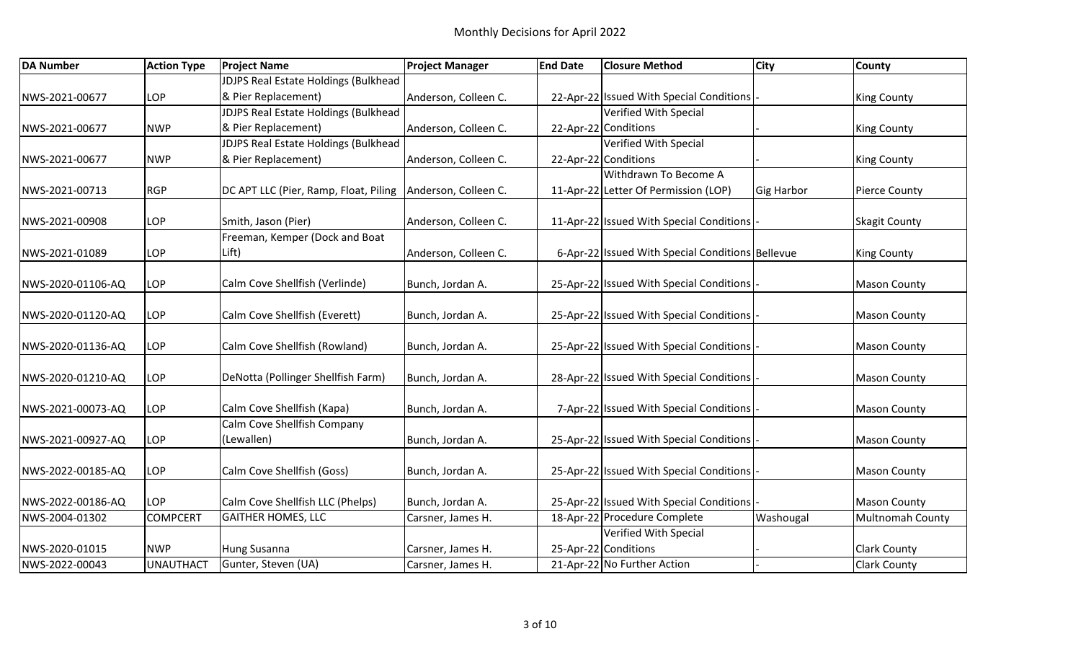| <b>DA Number</b>  | <b>Action Type</b> | <b>Project Name</b>                                           | <b>Project Manager</b> | <b>End Date</b> | <b>Closure Method</b>                                                    | <b>City</b>       | <b>County</b>           |
|-------------------|--------------------|---------------------------------------------------------------|------------------------|-----------------|--------------------------------------------------------------------------|-------------------|-------------------------|
|                   |                    | <b>JDJPS Real Estate Holdings (Bulkhead</b>                   |                        |                 |                                                                          |                   |                         |
| NWS-2021-00677    | LOP                | & Pier Replacement)                                           | Anderson, Colleen C.   |                 | 22-Apr-22 Issued With Special Conditions                                 |                   | <b>King County</b>      |
|                   |                    | <b>JDJPS Real Estate Holdings (Bulkhead</b>                   |                        |                 | <b>Verified With Special</b>                                             |                   |                         |
| NWS-2021-00677    | <b>NWP</b>         | & Pier Replacement)                                           | Anderson, Colleen C.   |                 | 22-Apr-22 Conditions                                                     |                   | <b>King County</b>      |
|                   |                    | <b>JDJPS Real Estate Holdings (Bulkhead</b>                   |                        |                 | <b>Verified With Special</b>                                             |                   |                         |
| NWS-2021-00677    | <b>NWP</b>         | & Pier Replacement)                                           | Anderson, Colleen C.   |                 | 22-Apr-22 Conditions                                                     |                   | <b>King County</b>      |
|                   |                    |                                                               |                        |                 | Withdrawn To Become A                                                    |                   |                         |
| NWS-2021-00713    | <b>RGP</b>         | DC APT LLC (Pier, Ramp, Float, Piling                         | Anderson, Colleen C.   |                 | 11-Apr-22 Letter Of Permission (LOP)                                     | <b>Gig Harbor</b> | <b>Pierce County</b>    |
| NWS-2021-00908    | LOP                | Smith, Jason (Pier)                                           | Anderson, Colleen C.   |                 | 11-Apr-22 Issued With Special Conditions                                 |                   | <b>Skagit County</b>    |
|                   |                    | Freeman, Kemper (Dock and Boat                                |                        |                 |                                                                          |                   |                         |
| NWS-2021-01089    | LOP                | Lift)                                                         | Anderson, Colleen C.   |                 | 6-Apr-22 Issued With Special Conditions Bellevue                         |                   | <b>King County</b>      |
| NWS-2020-01106-AQ | LOP                | Calm Cove Shellfish (Verlinde)                                | Bunch, Jordan A.       |                 | 25-Apr-22 Issued With Special Conditions                                 |                   | <b>Mason County</b>     |
| NWS-2020-01120-AQ | LOP                | Calm Cove Shellfish (Everett)                                 | Bunch, Jordan A.       |                 | 25-Apr-22 Issued With Special Conditions                                 |                   | <b>Mason County</b>     |
| NWS-2020-01136-AQ | LOP                | Calm Cove Shellfish (Rowland)                                 | Bunch, Jordan A.       |                 | 25-Apr-22 Issued With Special Conditions                                 |                   | <b>Mason County</b>     |
| NWS-2020-01210-AQ | LOP                | DeNotta (Pollinger Shellfish Farm)                            | Bunch, Jordan A.       |                 | 28-Apr-22 Issued With Special Conditions                                 |                   | <b>Mason County</b>     |
| NWS-2021-00073-AQ | LOP                | Calm Cove Shellfish (Kapa)                                    | Bunch, Jordan A.       |                 | 7-Apr-22 Issued With Special Conditions                                  |                   | <b>Mason County</b>     |
| NWS-2021-00927-AQ | LOP                | Calm Cove Shellfish Company<br>(Lewallen)                     | Bunch, Jordan A.       |                 | 25-Apr-22 Issued With Special Conditions                                 |                   | <b>Mason County</b>     |
|                   |                    |                                                               |                        |                 |                                                                          |                   |                         |
| NWS-2022-00185-AQ | LOP                | Calm Cove Shellfish (Goss)                                    | Bunch, Jordan A.       |                 | 25-Apr-22 Issued With Special Conditions                                 |                   | <b>Mason County</b>     |
|                   | LOP                |                                                               |                        |                 |                                                                          |                   |                         |
| NWS-2022-00186-AQ | <b>COMPCERT</b>    | Calm Cove Shellfish LLC (Phelps)<br><b>GAITHER HOMES, LLC</b> | Bunch, Jordan A.       |                 | 25-Apr-22 Issued With Special Conditions<br>18-Apr-22 Procedure Complete |                   | <b>Mason County</b>     |
| NWS-2004-01302    |                    |                                                               | Carsner, James H.      |                 | <b>Verified With Special</b>                                             | Washougal         | <b>Multnomah County</b> |
| NWS-2020-01015    | <b>NWP</b>         | Hung Susanna                                                  | Carsner, James H.      |                 | 25-Apr-22 Conditions                                                     |                   | <b>Clark County</b>     |
|                   |                    |                                                               |                        |                 |                                                                          |                   |                         |
| NWS-2022-00043    | <b>UNAUTHACT</b>   | Gunter, Steven (UA)                                           | Carsner, James H.      |                 | 21-Apr-22 No Further Action                                              |                   | <b>Clark County</b>     |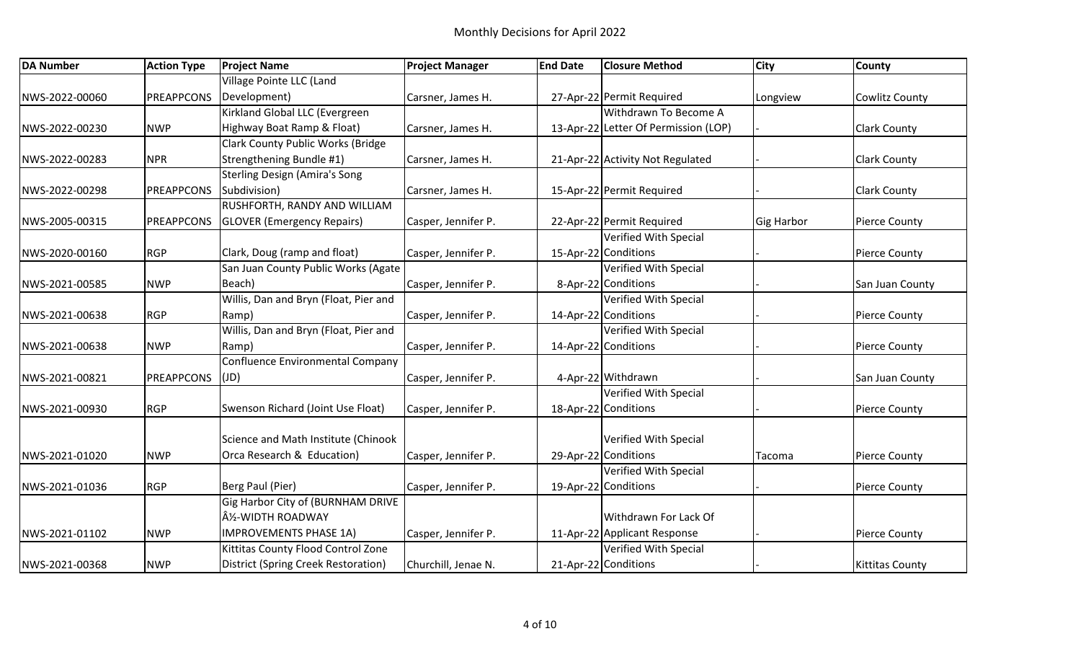| <b>DA Number</b> | <b>Action Type</b> | <b>Project Name</b>                      | <b>Project Manager</b> | <b>End Date</b> | <b>Closure Method</b>                | <b>City</b>       | <b>County</b>          |
|------------------|--------------------|------------------------------------------|------------------------|-----------------|--------------------------------------|-------------------|------------------------|
|                  |                    | Village Pointe LLC (Land                 |                        |                 |                                      |                   |                        |
| NWS-2022-00060   | <b>PREAPPCONS</b>  | Development)                             | Carsner, James H.      |                 | 27-Apr-22 Permit Required            | Longview          | <b>Cowlitz County</b>  |
|                  |                    | Kirkland Global LLC (Evergreen           |                        |                 | Withdrawn To Become A                |                   |                        |
| NWS-2022-00230   | <b>NWP</b>         | Highway Boat Ramp & Float)               | Carsner, James H.      |                 | 13-Apr-22 Letter Of Permission (LOP) |                   | <b>Clark County</b>    |
|                  |                    | <b>Clark County Public Works (Bridge</b> |                        |                 |                                      |                   |                        |
| NWS-2022-00283   | <b>NPR</b>         | Strengthening Bundle #1)                 | Carsner, James H.      |                 | 21-Apr-22 Activity Not Regulated     |                   | <b>Clark County</b>    |
|                  |                    | <b>Sterling Design (Amira's Song</b>     |                        |                 |                                      |                   |                        |
| NWS-2022-00298   | <b>PREAPPCONS</b>  | Subdivision)                             | Carsner, James H.      |                 | 15-Apr-22 Permit Required            |                   | <b>Clark County</b>    |
|                  |                    | <b>RUSHFORTH, RANDY AND WILLIAM</b>      |                        |                 |                                      |                   |                        |
| NWS-2005-00315   | PREAPPCONS         | <b>GLOVER (Emergency Repairs)</b>        | Casper, Jennifer P.    |                 | 22-Apr-22 Permit Required            | <b>Gig Harbor</b> | <b>Pierce County</b>   |
|                  |                    |                                          |                        |                 | Verified With Special                |                   |                        |
| NWS-2020-00160   | <b>RGP</b>         | Clark, Doug (ramp and float)             | Casper, Jennifer P.    |                 | 15-Apr-22 Conditions                 |                   | <b>Pierce County</b>   |
|                  |                    | San Juan County Public Works (Agate      |                        |                 | <b>Verified With Special</b>         |                   |                        |
| NWS-2021-00585   | <b>NWP</b>         | Beach)                                   | Casper, Jennifer P.    |                 | 8-Apr-22 Conditions                  |                   | San Juan County        |
|                  |                    | Willis, Dan and Bryn (Float, Pier and    |                        |                 | Verified With Special                |                   |                        |
| NWS-2021-00638   | <b>RGP</b>         | Ramp)                                    | Casper, Jennifer P.    |                 | 14-Apr-22 Conditions                 |                   | <b>Pierce County</b>   |
|                  |                    | Willis, Dan and Bryn (Float, Pier and    |                        |                 | Verified With Special                |                   |                        |
| NWS-2021-00638   | <b>NWP</b>         | Ramp)                                    | Casper, Jennifer P.    |                 | 14-Apr-22 Conditions                 |                   | <b>Pierce County</b>   |
|                  |                    | Confluence Environmental Company         |                        |                 |                                      |                   |                        |
| NWS-2021-00821   | PREAPPCONS         | (JD)                                     | Casper, Jennifer P.    |                 | 4-Apr-22 Withdrawn                   |                   | San Juan County        |
|                  |                    |                                          |                        |                 | Verified With Special                |                   |                        |
| NWS-2021-00930   | <b>RGP</b>         | Swenson Richard (Joint Use Float)        | Casper, Jennifer P.    |                 | 18-Apr-22 Conditions                 |                   | Pierce County          |
|                  |                    |                                          |                        |                 |                                      |                   |                        |
|                  |                    | Science and Math Institute (Chinook      |                        |                 | Verified With Special                |                   |                        |
| NWS-2021-01020   | <b>NWP</b>         | Orca Research & Education)               | Casper, Jennifer P.    |                 | 29-Apr-22 Conditions                 | Tacoma            | <b>Pierce County</b>   |
|                  |                    |                                          |                        |                 | Verified With Special                |                   |                        |
| NWS-2021-01036   | <b>RGP</b>         | Berg Paul (Pier)                         | Casper, Jennifer P.    |                 | 19-Apr-22 Conditions                 |                   | <b>Pierce County</b>   |
|                  |                    | Gig Harbor City of (BURNHAM DRIVE        |                        |                 |                                      |                   |                        |
|                  |                    | ½-WIDTH ROADWAY                          |                        |                 | Withdrawn For Lack Of                |                   |                        |
| NWS-2021-01102   | <b>NWP</b>         | <b>IMPROVEMENTS PHASE 1A)</b>            | Casper, Jennifer P.    |                 | 11-Apr-22 Applicant Response         |                   | <b>Pierce County</b>   |
|                  |                    | Kittitas County Flood Control Zone       |                        |                 | Verified With Special                |                   |                        |
| NWS-2021-00368   | <b>NWP</b>         | District (Spring Creek Restoration)      | Churchill, Jenae N.    |                 | 21-Apr-22 Conditions                 |                   | <b>Kittitas County</b> |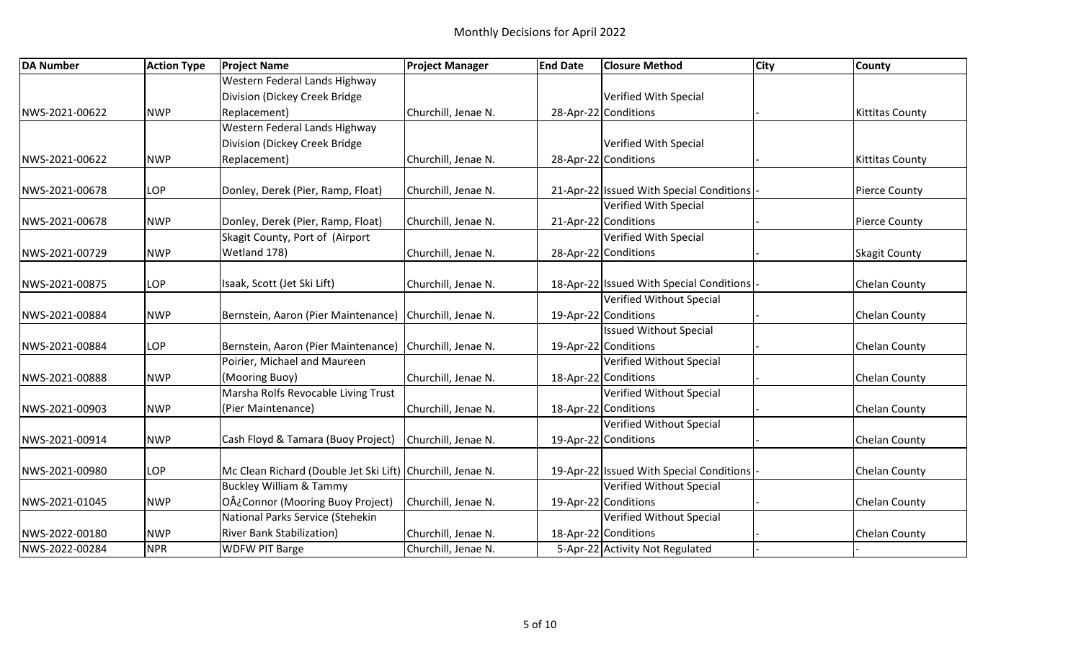| <b>DA Number</b> | <b>Action Type</b> | <b>Project Name</b>                                        | <b>Project Manager</b> | <b>End Date</b> | <b>Closure Method</b>                    | <b>City</b> | <b>County</b>          |
|------------------|--------------------|------------------------------------------------------------|------------------------|-----------------|------------------------------------------|-------------|------------------------|
|                  |                    | Western Federal Lands Highway                              |                        |                 |                                          |             |                        |
|                  |                    | Division (Dickey Creek Bridge                              |                        |                 | Verified With Special                    |             |                        |
| NWS-2021-00622   | <b>NWP</b>         | Replacement)                                               | Churchill, Jenae N.    |                 | 28-Apr-22 Conditions                     |             | <b>Kittitas County</b> |
|                  |                    | Western Federal Lands Highway                              |                        |                 |                                          |             |                        |
|                  |                    | Division (Dickey Creek Bridge                              |                        |                 | Verified With Special                    |             |                        |
| NWS-2021-00622   | <b>NWP</b>         | Replacement)                                               | Churchill, Jenae N.    |                 | 28-Apr-22 Conditions                     |             | <b>Kittitas County</b> |
| NWS-2021-00678   | LOP                | Donley, Derek (Pier, Ramp, Float)                          | Churchill, Jenae N.    |                 | 21-Apr-22 Issued With Special Conditions |             | <b>Pierce County</b>   |
|                  |                    |                                                            |                        |                 | <b>Verified With Special</b>             |             |                        |
| NWS-2021-00678   | <b>NWP</b>         | Donley, Derek (Pier, Ramp, Float)                          | Churchill, Jenae N.    |                 | 21-Apr-22 Conditions                     |             | <b>Pierce County</b>   |
|                  |                    | Skagit County, Port of (Airport                            |                        |                 | <b>Verified With Special</b>             |             |                        |
| NWS-2021-00729   | <b>NWP</b>         | Wetland 178)                                               | Churchill, Jenae N.    |                 | 28-Apr-22 Conditions                     |             | <b>Skagit County</b>   |
| NWS-2021-00875   | LOP                | Isaak, Scott (Jet Ski Lift)                                | Churchill, Jenae N.    |                 | 18-Apr-22 Issued With Special Conditions |             | Chelan County          |
|                  |                    |                                                            |                        |                 | Verified Without Special                 |             |                        |
| NWS-2021-00884   | <b>NWP</b>         | Bernstein, Aaron (Pier Maintenance)                        | Churchill, Jenae N.    |                 | 19-Apr-22 Conditions                     |             | <b>Chelan County</b>   |
|                  |                    |                                                            |                        |                 | <b>Issued Without Special</b>            |             |                        |
| NWS-2021-00884   | LOP                | Bernstein, Aaron (Pier Maintenance) Churchill, Jenae N.    |                        |                 | 19-Apr-22 Conditions                     |             | <b>Chelan County</b>   |
|                  |                    | Poirier, Michael and Maureen                               |                        |                 | Verified Without Special                 |             |                        |
| NWS-2021-00888   | <b>NWP</b>         | (Mooring Buoy)                                             | Churchill, Jenae N.    |                 | 18-Apr-22 Conditions                     |             | <b>Chelan County</b>   |
|                  |                    | Marsha Rolfs Revocable Living Trust                        |                        |                 | Verified Without Special                 |             |                        |
| NWS-2021-00903   | <b>NWP</b>         | (Pier Maintenance)                                         | Churchill, Jenae N.    |                 | 18-Apr-22 Conditions                     |             | <b>Chelan County</b>   |
|                  |                    |                                                            |                        |                 | Verified Without Special                 |             |                        |
| NWS-2021-00914   | <b>NWP</b>         | Cash Floyd & Tamara (Buoy Project)                         | Churchill, Jenae N.    |                 | 19-Apr-22 Conditions                     |             | Chelan County          |
| NWS-2021-00980   | LOP                | Mc Clean Richard (Double Jet Ski Lift) Churchill, Jenae N. |                        |                 | 19-Apr-22 Issued With Special Conditions |             | Chelan County          |
|                  |                    | <b>Buckley William &amp; Tammy</b>                         |                        |                 | Verified Without Special                 |             |                        |
| NWS-2021-01045   | <b>NWP</b>         | O¿Connor (Mooring Buoy Project)                            | Churchill, Jenae N.    |                 | 19-Apr-22 Conditions                     |             | <b>Chelan County</b>   |
|                  |                    | National Parks Service (Stehekin                           |                        |                 | Verified Without Special                 |             |                        |
| NWS-2022-00180   | <b>NWP</b>         | <b>River Bank Stabilization)</b>                           | Churchill, Jenae N.    |                 | 18-Apr-22 Conditions                     |             | <b>Chelan County</b>   |
| NWS-2022-00284   | <b>NPR</b>         | <b>WDFW PIT Barge</b>                                      | Churchill, Jenae N.    |                 | 5-Apr-22 Activity Not Regulated          |             |                        |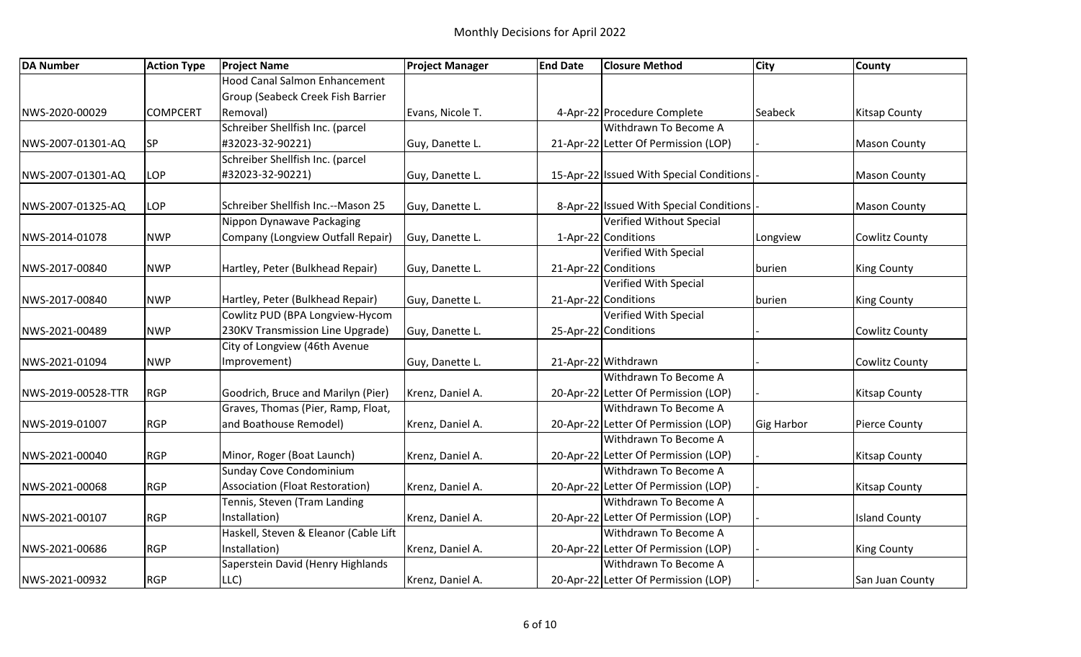| <b>DA Number</b>   | <b>Action Type</b> | <b>Project Name</b>                   | <b>Project Manager</b> | <b>End Date</b> | <b>Closure Method</b>                    | <b>City</b>       | <b>County</b>         |
|--------------------|--------------------|---------------------------------------|------------------------|-----------------|------------------------------------------|-------------------|-----------------------|
|                    |                    | <b>Hood Canal Salmon Enhancement</b>  |                        |                 |                                          |                   |                       |
|                    |                    | Group (Seabeck Creek Fish Barrier     |                        |                 |                                          |                   |                       |
| NWS-2020-00029     | <b>COMPCERT</b>    | Removal)                              | Evans, Nicole T.       |                 | 4-Apr-22 Procedure Complete              | Seabeck           | <b>Kitsap County</b>  |
|                    |                    | Schreiber Shellfish Inc. (parcel      |                        |                 | Withdrawn To Become A                    |                   |                       |
| NWS-2007-01301-AQ  | SP                 | #32023-32-90221)                      | Guy, Danette L.        |                 | 21-Apr-22 Letter Of Permission (LOP)     |                   | <b>Mason County</b>   |
|                    |                    | Schreiber Shellfish Inc. (parcel      |                        |                 |                                          |                   |                       |
| NWS-2007-01301-AQ  | LOP                | #32023-32-90221)                      | Guy, Danette L.        |                 | 15-Apr-22 Issued With Special Conditions |                   | <b>Mason County</b>   |
| NWS-2007-01325-AQ  | LOP                | Schreiber Shellfish Inc.--Mason 25    | Guy, Danette L.        |                 | 8-Apr-22 Issued With Special Conditions  |                   | <b>Mason County</b>   |
|                    |                    | Nippon Dynawave Packaging             |                        |                 | Verified Without Special                 |                   |                       |
| NWS-2014-01078     | <b>NWP</b>         | Company (Longview Outfall Repair)     | Guy, Danette L.        |                 | 1-Apr-22 Conditions                      | Longview          | Cowlitz County        |
|                    |                    |                                       |                        |                 | Verified With Special                    |                   |                       |
| NWS-2017-00840     | <b>NWP</b>         | Hartley, Peter (Bulkhead Repair)      | Guy, Danette L.        |                 | 21-Apr-22 Conditions                     | burien            | <b>King County</b>    |
|                    |                    |                                       |                        |                 | <b>Verified With Special</b>             |                   |                       |
| NWS-2017-00840     | <b>NWP</b>         | Hartley, Peter (Bulkhead Repair)      | Guy, Danette L.        |                 | 21-Apr-22 Conditions                     | burien            | <b>King County</b>    |
|                    |                    | Cowlitz PUD (BPA Longview-Hycom       |                        |                 | <b>Verified With Special</b>             |                   |                       |
| NWS-2021-00489     | <b>NWP</b>         | 230KV Transmission Line Upgrade)      | Guy, Danette L.        |                 | 25-Apr-22 Conditions                     |                   | <b>Cowlitz County</b> |
|                    |                    | City of Longview (46th Avenue         |                        |                 |                                          |                   |                       |
| NWS-2021-01094     | <b>NWP</b>         | Improvement)                          | Guy, Danette L.        |                 | 21-Apr-22 Withdrawn                      |                   | Cowlitz County        |
|                    |                    |                                       |                        |                 | Withdrawn To Become A                    |                   |                       |
| NWS-2019-00528-TTR | <b>RGP</b>         | Goodrich, Bruce and Marilyn (Pier)    | Krenz, Daniel A.       |                 | 20-Apr-22 Letter Of Permission (LOP)     |                   | <b>Kitsap County</b>  |
|                    |                    | Graves, Thomas (Pier, Ramp, Float,    |                        |                 | Withdrawn To Become A                    |                   |                       |
| NWS-2019-01007     | <b>RGP</b>         | and Boathouse Remodel)                | Krenz, Daniel A.       |                 | 20-Apr-22 Letter Of Permission (LOP)     | <b>Gig Harbor</b> | <b>Pierce County</b>  |
|                    |                    |                                       |                        |                 | Withdrawn To Become A                    |                   |                       |
| NWS-2021-00040     | <b>RGP</b>         | Minor, Roger (Boat Launch)            | Krenz, Daniel A.       |                 | 20-Apr-22 Letter Of Permission (LOP)     |                   | <b>Kitsap County</b>  |
|                    |                    | <b>Sunday Cove Condominium</b>        |                        |                 | Withdrawn To Become A                    |                   |                       |
| NWS-2021-00068     | <b>RGP</b>         | Association (Float Restoration)       | Krenz, Daniel A.       |                 | 20-Apr-22 Letter Of Permission (LOP)     |                   | <b>Kitsap County</b>  |
|                    |                    | Tennis, Steven (Tram Landing          |                        |                 | Withdrawn To Become A                    |                   |                       |
| NWS-2021-00107     | <b>RGP</b>         | Installation)                         | Krenz, Daniel A.       |                 | 20-Apr-22 Letter Of Permission (LOP)     |                   | <b>Island County</b>  |
|                    |                    | Haskell, Steven & Eleanor (Cable Lift |                        |                 | Withdrawn To Become A                    |                   |                       |
| NWS-2021-00686     | <b>RGP</b>         | Installation)                         | Krenz, Daniel A.       |                 | 20-Apr-22 Letter Of Permission (LOP)     |                   | <b>King County</b>    |
|                    |                    | Saperstein David (Henry Highlands     |                        |                 | Withdrawn To Become A                    |                   |                       |
| NWS-2021-00932     | <b>RGP</b>         | LLC)                                  | Krenz, Daniel A.       |                 | 20-Apr-22 Letter Of Permission (LOP)     |                   | San Juan County       |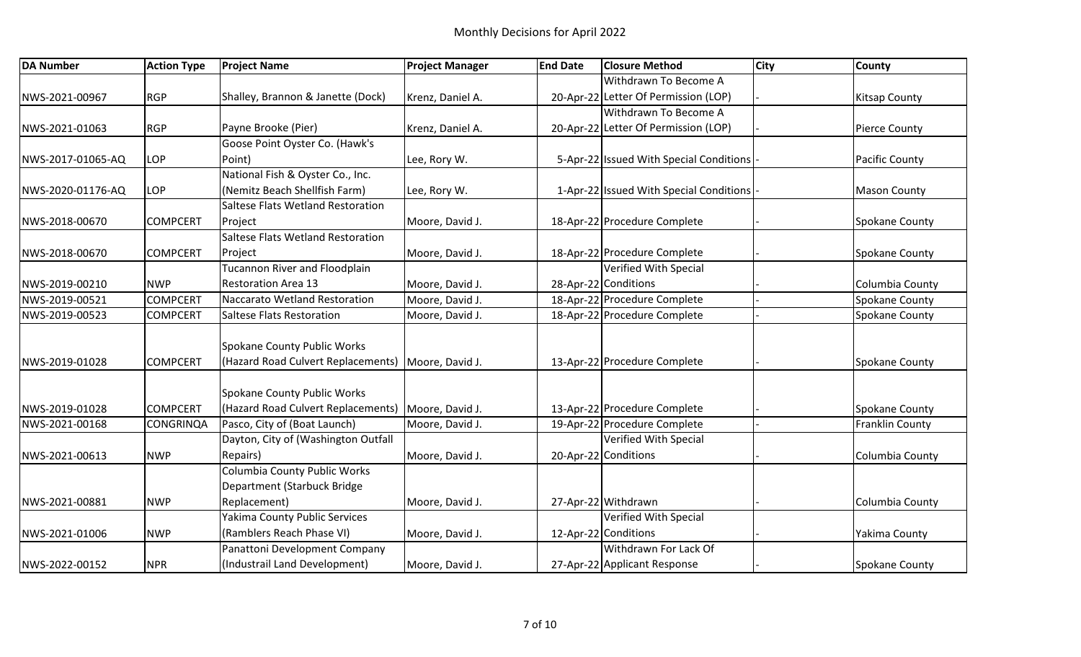| <b>DA Number</b>  | <b>Action Type</b> | <b>Project Name</b>                                  | <b>Project Manager</b> | <b>End Date</b> | <b>Closure Method</b>                     | <b>City</b> | <b>County</b>          |
|-------------------|--------------------|------------------------------------------------------|------------------------|-----------------|-------------------------------------------|-------------|------------------------|
|                   |                    |                                                      |                        |                 | Withdrawn To Become A                     |             |                        |
| NWS-2021-00967    | <b>RGP</b>         | Shalley, Brannon & Janette (Dock)                    | Krenz, Daniel A.       |                 | 20-Apr-22 Letter Of Permission (LOP)      |             | <b>Kitsap County</b>   |
|                   |                    |                                                      |                        |                 | Withdrawn To Become A                     |             |                        |
| NWS-2021-01063    | <b>RGP</b>         | Payne Brooke (Pier)                                  | Krenz, Daniel A.       |                 | 20-Apr-22 Letter Of Permission (LOP)      |             | <b>Pierce County</b>   |
|                   |                    | Goose Point Oyster Co. (Hawk's                       |                        |                 |                                           |             |                        |
| NWS-2017-01065-AQ | LOP                | Point)                                               | Lee, Rory W.           |                 | 5-Apr-22 Issued With Special Conditions   |             | Pacific County         |
|                   |                    | National Fish & Oyster Co., Inc.                     |                        |                 |                                           |             |                        |
| NWS-2020-01176-AQ | <b>LOP</b>         | (Nemitz Beach Shellfish Farm)                        | Lee, Rory W.           |                 | 1-Apr-22 Issued With Special Conditions - |             | <b>Mason County</b>    |
|                   |                    | Saltese Flats Wetland Restoration                    |                        |                 |                                           |             |                        |
| NWS-2018-00670    | <b>COMPCERT</b>    | Project                                              | Moore, David J.        |                 | 18-Apr-22 Procedure Complete              |             | Spokane County         |
|                   |                    | Saltese Flats Wetland Restoration                    |                        |                 |                                           |             |                        |
| NWS-2018-00670    | <b>COMPCERT</b>    | Project                                              | Moore, David J.        |                 | 18-Apr-22 Procedure Complete              |             | Spokane County         |
|                   |                    | <b>Tucannon River and Floodplain</b>                 |                        |                 | Verified With Special                     |             |                        |
| NWS-2019-00210    | <b>NWP</b>         | <b>Restoration Area 13</b>                           | Moore, David J.        |                 | 28-Apr-22 Conditions                      |             | Columbia County        |
| NWS-2019-00521    | <b>COMPCERT</b>    | Naccarato Wetland Restoration                        | Moore, David J.        |                 | 18-Apr-22 Procedure Complete              |             | Spokane County         |
| NWS-2019-00523    | <b>COMPCERT</b>    | <b>Saltese Flats Restoration</b>                     | Moore, David J.        |                 | 18-Apr-22 Procedure Complete              |             | Spokane County         |
|                   |                    |                                                      |                        |                 |                                           |             |                        |
|                   |                    | Spokane County Public Works                          |                        |                 |                                           |             |                        |
| NWS-2019-01028    | <b>COMPCERT</b>    | (Hazard Road Culvert Replacements)   Moore, David J. |                        |                 | 13-Apr-22 Procedure Complete              |             | Spokane County         |
|                   |                    |                                                      |                        |                 |                                           |             |                        |
|                   |                    | Spokane County Public Works                          |                        |                 |                                           |             |                        |
| NWS-2019-01028    | <b>COMPCERT</b>    | (Hazard Road Culvert Replacements)   Moore, David J. |                        |                 | 13-Apr-22 Procedure Complete              |             | Spokane County         |
| NWS-2021-00168    | <b>CONGRINQA</b>   | Pasco, City of (Boat Launch)                         | Moore, David J.        |                 | 19-Apr-22 Procedure Complete              |             | <b>Franklin County</b> |
|                   |                    | Dayton, City of (Washington Outfall                  |                        |                 | Verified With Special                     |             |                        |
| NWS-2021-00613    | <b>NWP</b>         | Repairs)                                             | Moore, David J.        |                 | 20-Apr-22 Conditions                      |             | Columbia County        |
|                   |                    | Columbia County Public Works                         |                        |                 |                                           |             |                        |
|                   |                    | Department (Starbuck Bridge                          |                        |                 |                                           |             |                        |
| NWS-2021-00881    | <b>NWP</b>         | Replacement)                                         | Moore, David J.        |                 | 27-Apr-22 Withdrawn                       |             | Columbia County        |
|                   |                    | <b>Yakima County Public Services</b>                 |                        |                 | Verified With Special                     |             |                        |
| NWS-2021-01006    | <b>NWP</b>         | (Ramblers Reach Phase VI)                            | Moore, David J.        |                 | 12-Apr-22 Conditions                      |             | Yakima County          |
|                   |                    | Panattoni Development Company                        |                        |                 | Withdrawn For Lack Of                     |             |                        |
| NWS-2022-00152    | <b>NPR</b>         | (Industrail Land Development)                        | Moore, David J.        |                 | 27-Apr-22 Applicant Response              |             | Spokane County         |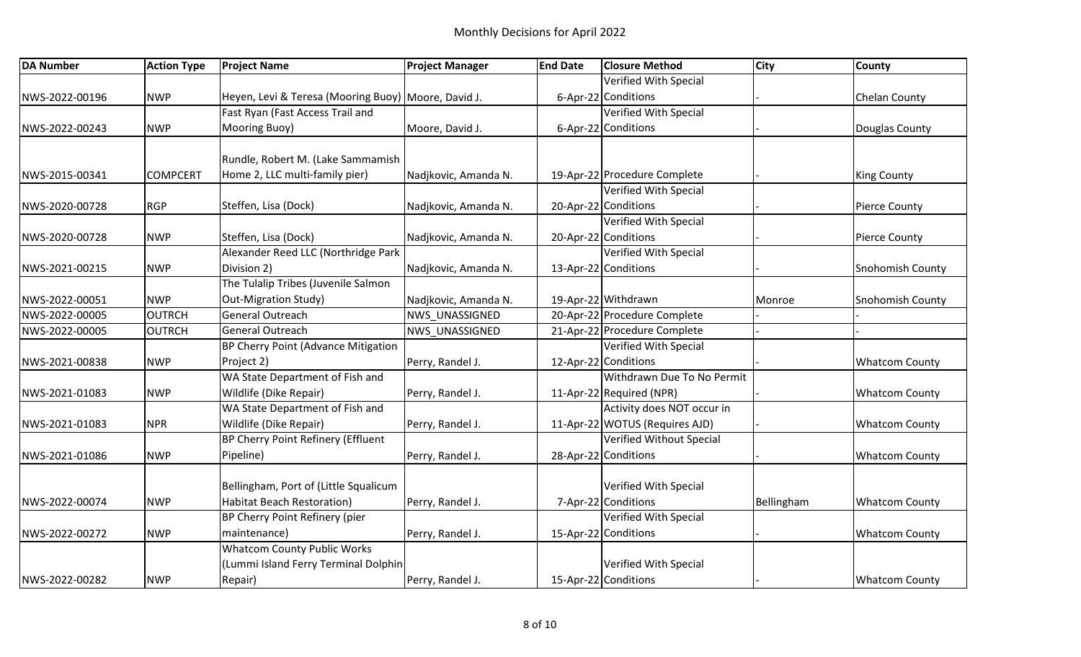| <b>DA Number</b> | <b>Action Type</b> | <b>Project Name</b>                                 | <b>Project Manager</b> | <b>End Date</b> | <b>Closure Method</b>          | <b>City</b> | County                |
|------------------|--------------------|-----------------------------------------------------|------------------------|-----------------|--------------------------------|-------------|-----------------------|
|                  |                    |                                                     |                        |                 | Verified With Special          |             |                       |
| NWS-2022-00196   | <b>NWP</b>         | Heyen, Levi & Teresa (Mooring Buoy) Moore, David J. |                        |                 | 6-Apr-22 Conditions            |             | Chelan County         |
|                  |                    | Fast Ryan (Fast Access Trail and                    |                        |                 | Verified With Special          |             |                       |
| NWS-2022-00243   | <b>NWP</b>         | Mooring Buoy)                                       | Moore, David J.        |                 | 6-Apr-22 Conditions            |             | Douglas County        |
|                  |                    |                                                     |                        |                 |                                |             |                       |
|                  |                    | Rundle, Robert M. (Lake Sammamish                   |                        |                 |                                |             |                       |
| NWS-2015-00341   | <b>COMPCERT</b>    | Home 2, LLC multi-family pier)                      | Nadjkovic, Amanda N.   |                 | 19-Apr-22 Procedure Complete   |             | <b>King County</b>    |
|                  |                    |                                                     |                        |                 | Verified With Special          |             |                       |
| NWS-2020-00728   | <b>RGP</b>         | Steffen, Lisa (Dock)                                | Nadjkovic, Amanda N.   |                 | 20-Apr-22 Conditions           |             | <b>Pierce County</b>  |
|                  |                    |                                                     |                        |                 | <b>Verified With Special</b>   |             |                       |
| NWS-2020-00728   | <b>NWP</b>         | Steffen, Lisa (Dock)                                | Nadjkovic, Amanda N.   |                 | 20-Apr-22 Conditions           |             | Pierce County         |
|                  |                    | Alexander Reed LLC (Northridge Park                 |                        |                 | Verified With Special          |             |                       |
| NWS-2021-00215   | <b>NWP</b>         | Division 2)                                         | Nadjkovic, Amanda N.   |                 | 13-Apr-22 Conditions           |             | Snohomish County      |
|                  |                    | The Tulalip Tribes (Juvenile Salmon                 |                        |                 |                                |             |                       |
| NWS-2022-00051   | <b>NWP</b>         | <b>Out-Migration Study)</b>                         | Nadjkovic, Amanda N.   |                 | 19-Apr-22 Withdrawn            | Monroe      | Snohomish County      |
| NWS-2022-00005   | <b>OUTRCH</b>      | <b>General Outreach</b>                             | <b>NWS UNASSIGNED</b>  |                 | 20-Apr-22 Procedure Complete   |             |                       |
| NWS-2022-00005   | <b>OUTRCH</b>      | General Outreach                                    | NWS UNASSIGNED         |                 | 21-Apr-22 Procedure Complete   |             |                       |
|                  |                    | BP Cherry Point (Advance Mitigation                 |                        |                 | Verified With Special          |             |                       |
| NWS-2021-00838   | <b>NWP</b>         | Project 2)                                          | Perry, Randel J.       |                 | 12-Apr-22 Conditions           |             | <b>Whatcom County</b> |
|                  |                    | WA State Department of Fish and                     |                        |                 | Withdrawn Due To No Permit     |             |                       |
| NWS-2021-01083   | <b>NWP</b>         | Wildlife (Dike Repair)                              | Perry, Randel J.       |                 | 11-Apr-22 Required (NPR)       |             | <b>Whatcom County</b> |
|                  |                    | WA State Department of Fish and                     |                        |                 | Activity does NOT occur in     |             |                       |
| NWS-2021-01083   | <b>NPR</b>         | Wildlife (Dike Repair)                              | Perry, Randel J.       |                 | 11-Apr-22 WOTUS (Requires AJD) |             | <b>Whatcom County</b> |
|                  |                    | BP Cherry Point Refinery (Effluent                  |                        |                 | Verified Without Special       |             |                       |
| NWS-2021-01086   | <b>NWP</b>         | Pipeline)                                           | Perry, Randel J.       |                 | 28-Apr-22 Conditions           |             | <b>Whatcom County</b> |
|                  |                    |                                                     |                        |                 |                                |             |                       |
|                  |                    | Bellingham, Port of (Little Squalicum               |                        |                 | Verified With Special          |             |                       |
| NWS-2022-00074   | <b>NWP</b>         | Habitat Beach Restoration)                          | Perry, Randel J.       |                 | 7-Apr-22 Conditions            | Bellingham  | <b>Whatcom County</b> |
|                  |                    | BP Cherry Point Refinery (pier                      |                        |                 | <b>Verified With Special</b>   |             |                       |
| NWS-2022-00272   | <b>NWP</b>         | maintenance)                                        | Perry, Randel J.       |                 | 15-Apr-22 Conditions           |             | <b>Whatcom County</b> |
|                  |                    | <b>Whatcom County Public Works</b>                  |                        |                 |                                |             |                       |
|                  |                    | (Lummi Island Ferry Terminal Dolphin                |                        |                 | Verified With Special          |             |                       |
| NWS-2022-00282   | <b>NWP</b>         | Repair)                                             | Perry, Randel J.       |                 | 15-Apr-22 Conditions           |             | <b>Whatcom County</b> |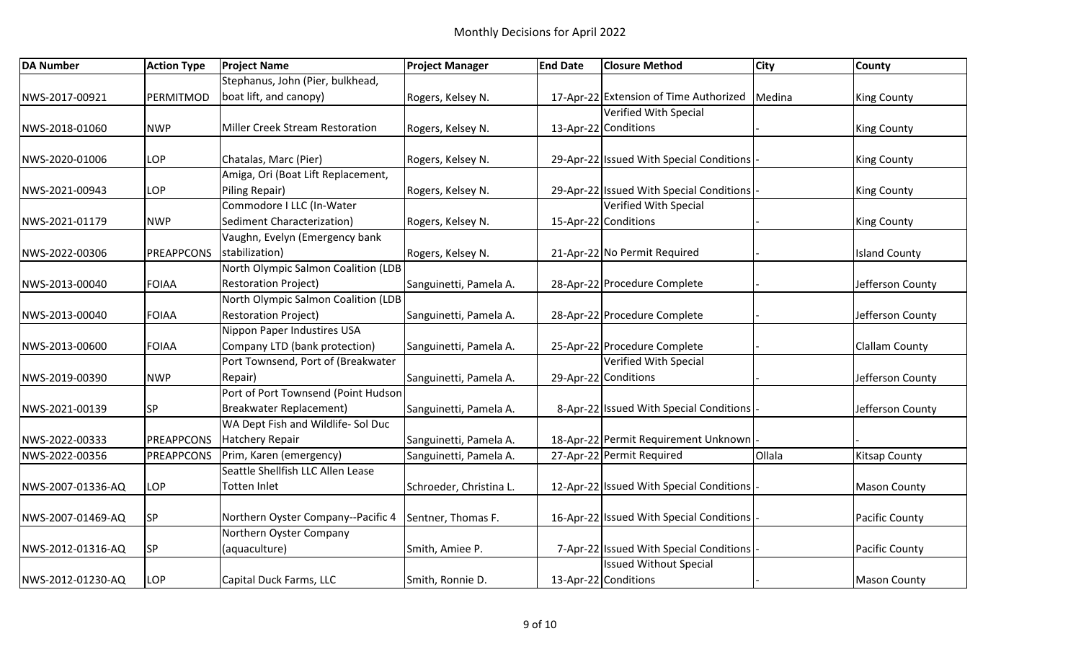| <b>DA Number</b>  | <b>Action Type</b> | <b>Project Name</b>                    | <b>Project Manager</b>  | <b>End Date</b> | <b>Closure Method</b>                    | <b>City</b> | <b>County</b>         |
|-------------------|--------------------|----------------------------------------|-------------------------|-----------------|------------------------------------------|-------------|-----------------------|
|                   |                    | Stephanus, John (Pier, bulkhead,       |                         |                 |                                          |             |                       |
| NWS-2017-00921    | PERMITMOD          | boat lift, and canopy)                 | Rogers, Kelsey N.       |                 | 17-Apr-22 Extension of Time Authorized   | Medina      | <b>King County</b>    |
|                   |                    |                                        |                         |                 | Verified With Special                    |             |                       |
| NWS-2018-01060    | <b>NWP</b>         | <b>Miller Creek Stream Restoration</b> | Rogers, Kelsey N.       |                 | 13-Apr-22 Conditions                     |             | <b>King County</b>    |
|                   |                    |                                        |                         |                 |                                          |             |                       |
| NWS-2020-01006    | LOP                | Chatalas, Marc (Pier)                  | Rogers, Kelsey N.       |                 | 29-Apr-22 Issued With Special Conditions |             | <b>King County</b>    |
|                   |                    | Amiga, Ori (Boat Lift Replacement,     |                         |                 |                                          |             |                       |
| NWS-2021-00943    | LOP                | Piling Repair)                         | Rogers, Kelsey N.       |                 | 29-Apr-22 Issued With Special Conditions |             | <b>King County</b>    |
|                   |                    | Commodore I LLC (In-Water              |                         |                 | <b>Verified With Special</b>             |             |                       |
| NWS-2021-01179    | <b>NWP</b>         | Sediment Characterization)             | Rogers, Kelsey N.       |                 | 15-Apr-22 Conditions                     |             | <b>King County</b>    |
|                   |                    | Vaughn, Evelyn (Emergency bank         |                         |                 |                                          |             |                       |
| NWS-2022-00306    | <b>PREAPPCONS</b>  | stabilization)                         | Rogers, Kelsey N.       |                 | 21-Apr-22 No Permit Required             |             | <b>Island County</b>  |
|                   |                    | North Olympic Salmon Coalition (LDB    |                         |                 |                                          |             |                       |
| NWS-2013-00040    | <b>FOIAA</b>       | <b>Restoration Project)</b>            | Sanguinetti, Pamela A.  |                 | 28-Apr-22 Procedure Complete             |             | Jefferson County      |
|                   |                    | North Olympic Salmon Coalition (LDB    |                         |                 |                                          |             |                       |
| NWS-2013-00040    | <b>FOIAA</b>       | <b>Restoration Project)</b>            | Sanguinetti, Pamela A.  |                 | 28-Apr-22 Procedure Complete             |             | Jefferson County      |
|                   |                    | Nippon Paper Industires USA            |                         |                 |                                          |             |                       |
| NWS-2013-00600    | <b>FOIAA</b>       | Company LTD (bank protection)          | Sanguinetti, Pamela A.  |                 | 25-Apr-22 Procedure Complete             |             | <b>Clallam County</b> |
|                   |                    | Port Townsend, Port of (Breakwater     |                         |                 | Verified With Special                    |             |                       |
| NWS-2019-00390    | <b>NWP</b>         | Repair)                                | Sanguinetti, Pamela A.  |                 | 29-Apr-22 Conditions                     |             | Jefferson County      |
|                   |                    | Port of Port Townsend (Point Hudson    |                         |                 |                                          |             |                       |
| NWS-2021-00139    | SP                 | <b>Breakwater Replacement)</b>         | Sanguinetti, Pamela A.  |                 | 8-Apr-22 Issued With Special Conditions  |             | Jefferson County      |
|                   |                    | WA Dept Fish and Wildlife- Sol Duc     |                         |                 |                                          |             |                       |
| NWS-2022-00333    | <b>PREAPPCONS</b>  | <b>Hatchery Repair</b>                 | Sanguinetti, Pamela A.  |                 | 18-Apr-22 Permit Requirement Unknown     |             |                       |
| NWS-2022-00356    | <b>PREAPPCONS</b>  | Prim, Karen (emergency)                | Sanguinetti, Pamela A.  |                 | 27-Apr-22 Permit Required                | Ollala      | <b>Kitsap County</b>  |
|                   |                    | Seattle Shellfish LLC Allen Lease      |                         |                 |                                          |             |                       |
| NWS-2007-01336-AQ | LOP                | Totten Inlet                           | Schroeder, Christina L. |                 | 12-Apr-22 Issued With Special Conditions |             | <b>Mason County</b>   |
|                   |                    |                                        |                         |                 |                                          |             |                       |
| NWS-2007-01469-AQ | <b>SP</b>          | Northern Oyster Company--Pacific 4     | Sentner, Thomas F.      |                 | 16-Apr-22 Issued With Special Conditions |             | Pacific County        |
|                   |                    | Northern Oyster Company                |                         |                 |                                          |             |                       |
| NWS-2012-01316-AQ | SP                 | (aquaculture)                          | Smith, Amiee P.         |                 | 7-Apr-22 Issued With Special Conditions  |             | Pacific County        |
|                   |                    |                                        |                         |                 | <b>Issued Without Special</b>            |             |                       |
| NWS-2012-01230-AQ | LOP                | Capital Duck Farms, LLC                | Smith, Ronnie D.        |                 | 13-Apr-22 Conditions                     |             | <b>Mason County</b>   |